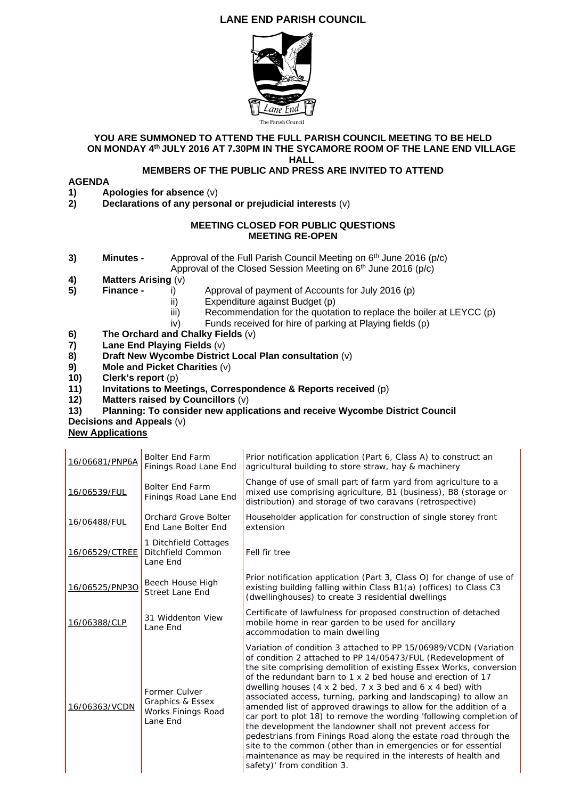# **LANE END PARISH COUNCIL**



#### **YOU ARE SUMMONED TO ATTEND THE FULL PARISH COUNCIL MEETING TO BE HELD ON MONDAY 4th JULY 2016 AT 7.30PM IN THE SYCAMORE ROOM OF THE LANE END VILLAGE HALL**

## **MEMBERS OF THE PUBLIC AND PRESS ARE INVITED TO ATTEND**

### **AGENDA**

- **1)** Apologies for absence (v)<br>**2)** Declarations of any perso
- **2) Declarations of any personal or prejudicial interests** (v)

### **MEETING CLOSED FOR PUBLIC QUESTIONS MEETING RE-OPEN**

**3) Minutes -** Approval of the Full Parish Council Meeting on 6<sup>th</sup> June 2016 (p/c)

Approval of the Closed Session Meeting on  $6<sup>th</sup>$  June 2016 (p/c)

- **4) Matters Arising** (v)
- **5)** Finance **i**) Approval of payment of Accounts for July 2016 (p)
	- ii) Expenditure against Budget (p)
	- iii) Recommendation for the quotation to replace the boiler at LEYCC (p)
	- iv) Funds received for hire of parking at Playing fields (p)
- **6) The Orchard and Chalky Fields** (v)
- **7) Lane End Playing Fields** (v)
- **8) Draft New Wycombe District Local Plan consultation** (v)
- **9) Mole and Picket Charities** (v)
- **10) Clerk's report** (p)
- **11) Invitations to Meetings, Correspondence & Reports received** (p)
- **12) Matters raised by Councillors** (v)

#### **13) Planning: To consider new applications and receive Wycombe District Council Decisions and Appeals** (v)

#### **New Applications**

| 16/06681/PNP6A | <b>Bolter End Farm</b><br>Finings Road Lane End                     | Prior notification application (Part 6, Class A) to construct an<br>agricultural building to store straw, hay & machinery                                                                                                                                                                                                                                                                                                                                                                                                                                                                                                                                                                                                                                                                                                                                                                       |
|----------------|---------------------------------------------------------------------|-------------------------------------------------------------------------------------------------------------------------------------------------------------------------------------------------------------------------------------------------------------------------------------------------------------------------------------------------------------------------------------------------------------------------------------------------------------------------------------------------------------------------------------------------------------------------------------------------------------------------------------------------------------------------------------------------------------------------------------------------------------------------------------------------------------------------------------------------------------------------------------------------|
| 16/06539/FUL   | <b>Bolter End Farm</b><br>Finings Road Lane End                     | Change of use of small part of farm yard from agriculture to a<br>mixed use comprising agriculture, B1 (business), B8 (storage or<br>distribution) and storage of two caravans (retrospective)                                                                                                                                                                                                                                                                                                                                                                                                                                                                                                                                                                                                                                                                                                  |
| 16/06488/FUL   | Orchard Grove Bolter<br>End Lane Bolter End                         | Householder application for construction of single storey front<br>extension                                                                                                                                                                                                                                                                                                                                                                                                                                                                                                                                                                                                                                                                                                                                                                                                                    |
| 16/06529/CTREE | 1 Ditchfield Cottages<br>Ditchfield Common<br>Lane End              | Fell fir tree                                                                                                                                                                                                                                                                                                                                                                                                                                                                                                                                                                                                                                                                                                                                                                                                                                                                                   |
| 16/06525/PNP3O | Beech House High<br><b>Street Lane End</b>                          | Prior notification application (Part 3, Class O) for change of use of<br>existing building falling within Class B1(a) (offices) to Class C3<br>(dwellinghouses) to create 3 residential dwellings                                                                                                                                                                                                                                                                                                                                                                                                                                                                                                                                                                                                                                                                                               |
| 16/06388/CLP   | 31 Widdenton View<br>Lane End                                       | Certificate of lawfulness for proposed construction of detached<br>mobile home in rear garden to be used for ancillary<br>accommodation to main dwelling                                                                                                                                                                                                                                                                                                                                                                                                                                                                                                                                                                                                                                                                                                                                        |
| 16/06363/VCDN  | Former Culver<br>Graphics & Essex<br>Works Finings Road<br>Lane End | Variation of condition 3 attached to PP 15/06989/VCDN (Variation<br>of condition 2 attached to PP 14/05473/FUL (Redevelopment of<br>the site comprising demolition of existing Essex Works, conversion<br>of the redundant barn to 1 x 2 bed house and erection of 17<br>dwelling houses $(4 \times 2 \text{ bed}, 7 \times 3 \text{ bed}$ and $6 \times 4 \text{ bed}$ ) with<br>associated access, turning, parking and landscaping) to allow an<br>amended list of approved drawings to allow for the addition of a<br>car port to plot 18) to remove the wording 'following completion of<br>the development the landowner shall not prevent access for<br>pedestrians from Finings Road along the estate road through the<br>site to the common (other than in emergencies or for essential<br>maintenance as may be required in the interests of health and<br>safety)' from condition 3. |